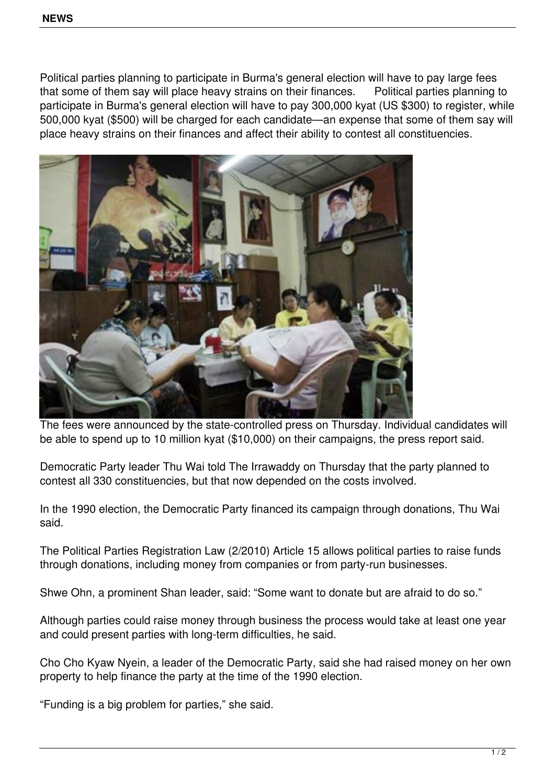Political parties planning to participate in Burma's general election will have to pay large fees that some of them say will place heavy strains on their finances. Political parties planning to participate in Burma's general election will have to pay 300,000 kyat (US \$300) to register, while 500,000 kyat (\$500) will be charged for each candidate—an expense that some of them say will place heavy strains on their finances and affect their ability to contest all constituencies.



The fees were announced by the state-controlled press on Thursday. Individual candidates will be able to spend up to 10 million kyat (\$10,000) on their campaigns, the press report said.

Democratic Party leader Thu Wai told The Irrawaddy on Thursday that the party planned to contest all 330 constituencies, but that now depended on the costs involved.

In the 1990 election, the Democratic Party financed its campaign through donations, Thu Wai said.

The Political Parties Registration Law (2/2010) Article 15 allows political parties to raise funds through donations, including money from companies or from party-run businesses.

Shwe Ohn, a prominent Shan leader, said: "Some want to donate but are afraid to do so."

Although parties could raise money through business the process would take at least one year and could present parties with long-term difficulties, he said.

Cho Cho Kyaw Nyein, a leader of the Democratic Party, said she had raised money on her own property to help finance the party at the time of the 1990 election.

"Funding is a big problem for parties," she said.